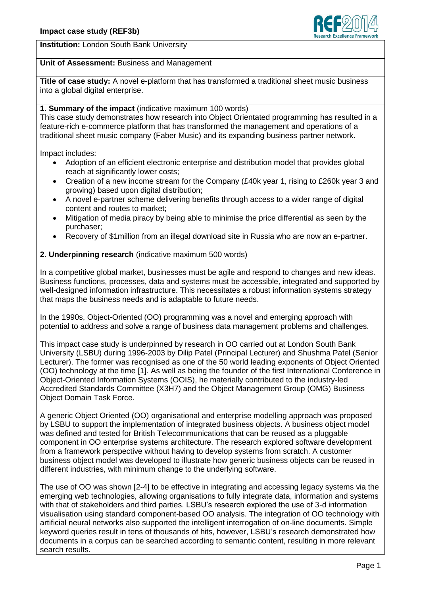

**Institution:** London South Bank University

## **Unit of Assessment:** Business and Management

**Title of case study:** A novel e-platform that has transformed a traditional sheet music business into a global digital enterprise.

## **1. Summary of the impact** (indicative maximum 100 words)

This case study demonstrates how research into Object Orientated programming has resulted in a feature-rich e-commerce platform that has transformed the management and operations of a traditional sheet music company (Faber Music) and its expanding business partner network.

Impact includes:

- Adoption of an efficient electronic enterprise and distribution model that provides global reach at significantly lower costs;
- Creation of a new income stream for the Company (£40k year 1, rising to £260k year 3 and growing) based upon digital distribution;
- A novel e-partner scheme delivering benefits through access to a wider range of digital content and routes to market;
- Mitigation of media piracy by being able to minimise the price differential as seen by the purchaser;
- Recovery of \$1million from an illegal download site in Russia who are now an e-partner.

**2. Underpinning research** (indicative maximum 500 words)

In a competitive global market, businesses must be agile and respond to changes and new ideas. Business functions, processes, data and systems must be accessible, integrated and supported by well-designed information infrastructure. This necessitates a robust information systems strategy that maps the business needs and is adaptable to future needs.

In the 1990s, Object-Oriented (OO) programming was a novel and emerging approach with potential to address and solve a range of business data management problems and challenges.

This impact case study is underpinned by research in OO carried out at London South Bank University (LSBU) during 1996-2003 by Dilip Patel (Principal Lecturer) and Shushma Patel (Senior Lecturer). The former was recognised as one of the 50 world leading exponents of Object Oriented (OO) technology at the time [1]. As well as being the founder of the first International Conference in Object-Oriented Information Systems (OOIS), he materially contributed to the industry-led Accredited Standards Committee (X3H7) and the Object Management Group (OMG) Business Object Domain Task Force.

A generic Object Oriented (OO) organisational and enterprise modelling approach was proposed by LSBU to support the implementation of integrated business objects. A business object model was defined and tested for British Telecommunications that can be reused as a pluggable component in OO enterprise systems architecture. The research explored software development from a framework perspective without having to develop systems from scratch. A customer business object model was developed to illustrate how generic business objects can be reused in different industries, with minimum change to the underlying software.

The use of OO was shown [2-4] to be effective in integrating and accessing legacy systems via the emerging web technologies, allowing organisations to fully integrate data, information and systems with that of stakeholders and third parties. LSBU's research explored the use of 3-d information visualisation using standard component-based OO analysis. The integration of OO technology with artificial neural networks also supported the intelligent interrogation of on-line documents. Simple keyword queries result in tens of thousands of hits, however, LSBU's research demonstrated how documents in a corpus can be searched according to semantic content, resulting in more relevant search results.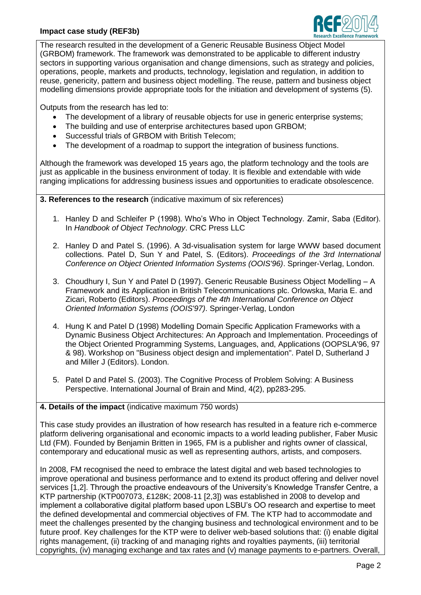## **Impact case study (REF3b)**



The research resulted in the development of a Generic Reusable Business Object Model (GRBOM) framework. The framework was demonstrated to be applicable to different industry sectors in supporting various organisation and change dimensions, such as strategy and policies, operations, people, markets and products, technology, legislation and regulation, in addition to reuse, genericity, pattern and business object modelling. The reuse, pattern and business object modelling dimensions provide appropriate tools for the initiation and development of systems (5).

Outputs from the research has led to:

- The development of a library of reusable objects for use in generic enterprise systems;
- The building and use of enterprise architectures based upon GRBOM;
- Successful trials of GRBOM with British Telecom;
- The development of a roadmap to support the integration of business functions.

Although the framework was developed 15 years ago, the platform technology and the tools are just as applicable in the business environment of today. It is flexible and extendable with wide ranging implications for addressing business issues and opportunities to eradicate obsolescence.

**3. References to the research** (indicative maximum of six references)

- 1. Hanley D and Schleifer P (1998). Who's Who in Object Technology. Zamir, Saba (Editor). In *Handbook of Object Technology*. CRC Press LLC
- 2. Hanley D and Patel S. (1996). A 3d-visualisation system for large WWW based document collections. Patel D, Sun Y and Patel, S. (Editors). *Proceedings of the 3rd International Conference on Object Oriented Information Systems (OOIS'96)*. Springer-Verlag, London.
- 3. Choudhury I, Sun Y and Patel D (1997). Generic Reusable Business Object Modelling A Framework and its Application in British Telecommunications plc. Orlowska, Maria E. and Zicari, Roberto (Editors). *Proceedings of the 4th International Conference on Object Oriented Information Systems (OOIS'97)*. Springer-Verlag, London
- 4. Hung K and Patel D (1998) Modelling Domain Specific Application Frameworks with a Dynamic Business Object Architectures: An Approach and Implementation. Proceedings of the Object Oriented Programming Systems, Languages, and, Applications (OOPSLA'96, 97 & 98). Workshop on "Business object design and implementation". Patel D, Sutherland J and Miller J (Editors). London.
- 5. Patel D and Patel S. (2003). The Cognitive Process of Problem Solving: A Business Perspective. International Journal of Brain and Mind, 4(2), pp283-295.

## **4. Details of the impact** (indicative maximum 750 words)

This case study provides an illustration of how research has resulted in a feature rich e-commerce platform delivering organisational and economic impacts to a world leading publisher, Faber Music Ltd (FM). Founded by Benjamin Britten in 1965, FM is a publisher and rights owner of classical, contemporary and educational music as well as representing authors, artists, and composers.

In 2008, FM recognised the need to embrace the latest digital and web based technologies to improve operational and business performance and to extend its product offering and deliver novel services [1,2]. Through the proactive endeavours of the University's Knowledge Transfer Centre, a KTP partnership (KTP007073, £128K; 2008-11 [2,3]) was established in 2008 to develop and implement a collaborative digital platform based upon LSBU's OO research and expertise to meet the defined developmental and commercial objectives of FM. The KTP had to accommodate and meet the challenges presented by the changing business and technological environment and to be future proof. Key challenges for the KTP were to deliver web-based solutions that: (i) enable digital rights management, (ii) tracking of and managing rights and royalties payments, (iii) territorial copyrights, (iv) managing exchange and tax rates and (v) manage payments to e-partners. Overall,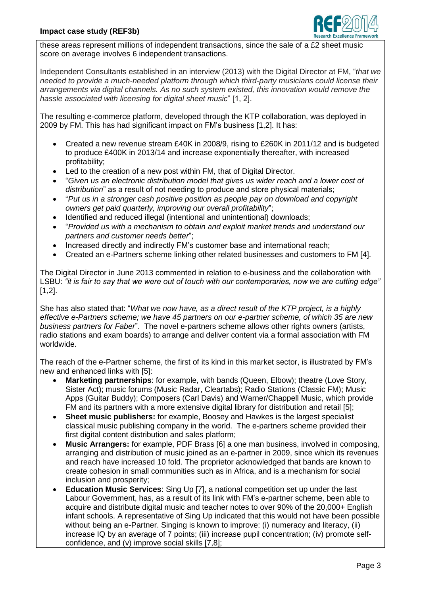

these areas represent millions of independent transactions, since the sale of a £2 sheet music score on average involves 6 independent transactions.

Independent Consultants established in an interview (2013) with the Digital Director at FM, "*that we needed to provide a much-needed platform through which third-party musicians could license their arrangements via digital channels. As no such system existed, this innovation would remove the hassle associated with licensing for digital sheet music*" [1, 2].

The resulting e-commerce platform, developed through the KTP collaboration, was deployed in 2009 by FM. This has had significant impact on FM's business [1,2]. It has:

- Created a new revenue stream £40K in 2008/9, rising to £260K in 2011/12 and is budgeted to produce £400K in 2013/14 and increase exponentially thereafter, with increased profitability;
- Led to the creation of a new post within FM, that of Digital Director.
- "*Given us an electronic distribution model that gives us wider reach and a lower cost of distribution*" as a result of not needing to produce and store physical materials;
- "*Put us in a stronger cash positive position as people pay on download and copyright owners get paid quarterly, improving our overall profitability*";
- Identified and reduced illegal (intentional and unintentional) downloads:
- "*Provided us with a mechanism to obtain and exploit market trends and understand our partners and customer needs better*";
- Increased directly and indirectly FM's customer base and international reach;
- Created an e-Partners scheme linking other related businesses and customers to FM [4].

The Digital Director in June 2013 commented in relation to e-business and the collaboration with LSBU: *"it is fair to say that we were out of touch with our contemporaries, now we are cutting edge"*  $[1.2]$ .

She has also stated that: "*What we now have, as a direct result of the KTP project, is a highly effective e-Partners scheme; we have 45 partners on our e-partner scheme, of which 35 are new business partners for Faber*". The novel e-partners scheme allows other rights owners (artists, radio stations and exam boards) to arrange and deliver content via a formal association with FM worldwide.

The reach of the e-Partner scheme, the first of its kind in this market sector, is illustrated by FM's new and enhanced links with [5]:

- **Marketing partnerships**: for example, with bands (Queen, Elbow); theatre (Love Story, Sister Act); music forums (Music Radar, Cleartabs); Radio Stations (Classic FM); Music Apps (Guitar Buddy); Composers (Carl Davis) and Warner/Chappell Music, which provide FM and its partners with a more extensive digital library for distribution and retail [5];
- **Sheet music publishers:** for example, Boosey and Hawkes is the largest specialist classical music publishing company in the world. The e-partners scheme provided their first digital content distribution and sales platform;
- **Music Arrangers:** for example, PDF Brass [6] a one man business, involved in composing, arranging and distribution of music joined as an e-partner in 2009, since which its revenues and reach have increased 10 fold. The proprietor acknowledged that bands are known to create cohesion in small communities such as in Africa, and is a mechanism for social inclusion and prosperity;
- **Education Music Services**: Sing Up [7], a national competition set up under the last Labour Government, has, as a result of its link with FM's e-partner scheme, been able to acquire and distribute digital music and teacher notes to over 90% of the 20,000+ English infant schools. A representative of Sing Up indicated that this would not have been possible without being an e-Partner. Singing is known to improve: (i) numeracy and literacy, (ii) increase IQ by an average of 7 points; (iii) increase pupil concentration; (iv) promote selfconfidence, and (v) improve social skills [7,8];